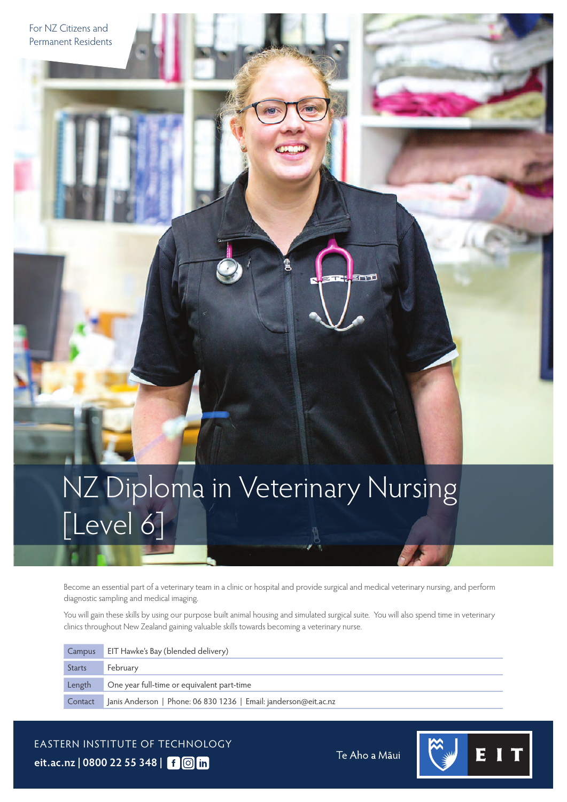NZ Diploma in Veterinary Nursing [Level 6]

Become an essential part of a veterinary team in a clinic or hospital and provide surgical and medical veterinary nursing, and perform diagnostic sampling and medical imaging.

You will gain these skills by using our purpose built animal housing and simulated surgical suite. You will also spend time in veterinary clinics throughout New Zealand gaining valuable skills towards becoming a veterinary nurse.

| Campus        | EIT Hawke's Bay (blended delivery)                               |
|---------------|------------------------------------------------------------------|
| <b>Starts</b> | February                                                         |
| Length        | One year full-time or equivalent part-time                       |
| Contact       | Janis Anderson   Phone: 06 830 1236   Email: janderson@eit.ac.nz |

EASTERN INSTITUTE OF TECHNOLOGY **[eit.ac.nz](https://www.eit.ac.nz) | 0800 22 55 348 |**

For NZ Citizens and Permanent Residents

Te Aho a Māui

エコエ

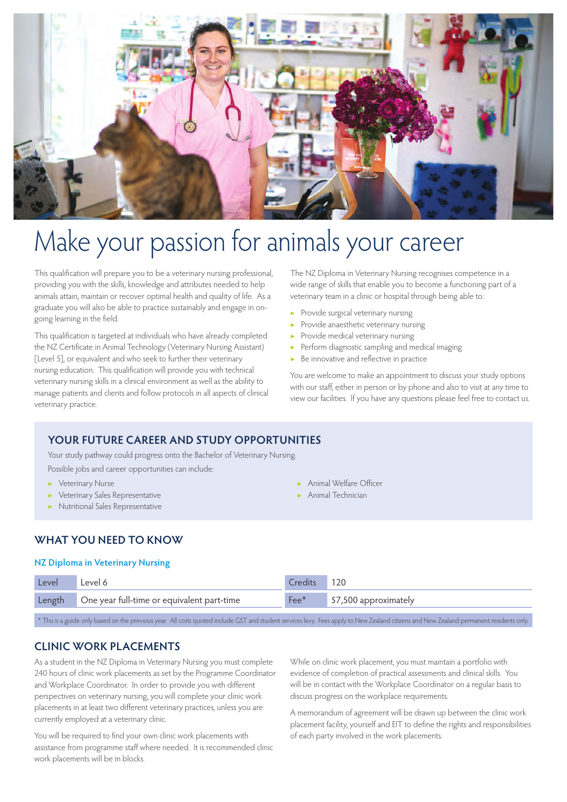

# Make your passion for animals your career

This qualification will prepare you to be a veterinary nursing professional, providing you with the skills, knowledge and attributes needed to help animals attain, maintain or recover optimal health and quality of life. As a graduate you will also be able to practice sustainably and engage in ongoing learning in the field.

This qualification is targeted at individuals who have already completed the NZ Certificate in Animal Technology (Veterinary Nursing Assistant) [Level 5], or equivalent and who seek to further their veterinary nursing education. This qualification will provide you with technical veterinary nursing skills in a clinical environment as well as the ability to manage patients and clients and follow protocols in all aspects of clinical veterinary practice.

The NZ Diploma in Veterinary Nursing recognises competence in a wide range of skills that enable you to become a functioning part of a veterinary team in a clinic or hospital through being able to:

- ▶ Provide surgical veterinary nursing
- ▶ Provide anaesthetic veterinary nursing
- Provide medical veterinary nursing
- Perform diagnostic sampling and medical imaging
- Be innovative and reflective in practice

You are welcome to make an appointment to discuss your study options with our staff, either in person or by phone and also to visit at any time to view our facilities. If you have any questions please feel free to contact us.

#### **YOUR FUTURE CAREER AND STUDY OPPORTUNITIES**

Your study pathway could progress onto the Bachelor of Veterinary Nursing.

Possible jobs and career opportunities can include:

- ▶ Veterinary Nurse ▶ Veterinary Sales Representative
- 
- ▶ Nutritional Sales Representative
- ▶ Animal Welfare Officer
- ▶ Animal Technician

#### **WHAT YOU NEED TO KNOW**

#### **NZ Diploma in Veterinary Nursing**

| Level  | evel 6                                     | <b>Credits</b> | 120                   |
|--------|--------------------------------------------|----------------|-----------------------|
| Length | One year full-time or equivalent part-time | Fee*           | \$7,500 approximately |

\* This is a guide only based on the previous year. All costs quoted include GST and student services levy. Fees apply to New Zealand citizens and New Zealand permanent residents only.

#### **CLINIC WORK PLACEMENTS**

As a student in the NZ Diploma in Veterinary Nursing you must complete 240 hours of clinic work placements as set by the Programme Coordinator and Workplace Coordinator. In order to provide you with different perspectives on veterinary nursing, you will complete your clinic work placements in at least two different veterinary practices, unless you are currently employed at a veterinary clinic.

You will be required to find your own clinic work placements with assistance from programme staff where needed. It is recommended clinic work placements will be in blocks.

While on clinic work placement, you must maintain a portfolio with evidence of completion of practical assessments and clinical skills. You will be in contact with the Workplace Coordinator on a regular basis to discuss progress on the workplace requirements.

A memorandum of agreement will be drawn up between the clinic work placement facility, yourself and EIT to define the rights and responsibilities of each party involved in the work placements.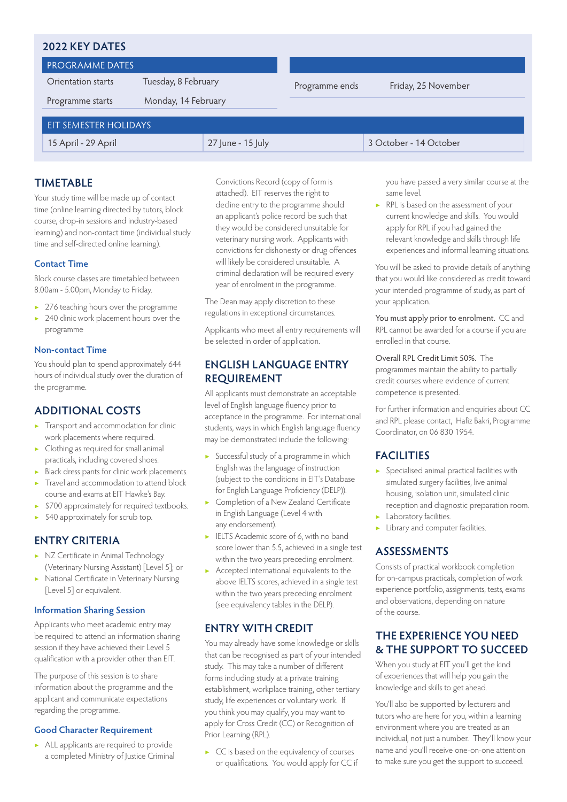#### **2022 KEY DATES**

PROGRAMME DATES

Orientation starts

Programme starts

Programme ends Friday, 25 November

#### EIT SEMESTER HOLIDAYS 15 April - 29 April 27 June - 15 July 3 October - 14 October

Tuesday, 8 February

Monday, 14 February

you have passed a very similar course at the same level.

▶ RPL is based on the assessment of your current knowledge and skills. You would apply for RPL if you had gained the relevant knowledge and skills through life experiences and informal learning situations.

You will be asked to provide details of anything that you would like considered as credit toward your intended programme of study, as part of your application.

You must apply prior to enrolment.CC and RPL cannot be awarded for a course if you are enrolled in that course.

Overall RPL Credit Limit 50%. The programmes maintain the ability to partially credit courses where evidence of current competence is presented.

For further information and enquiries about CC and RPL please contact, Hafiz Bakri, Programme Coordinator, on 06 830 1954.

#### **FACILITIES**

- Specialised animal practical facilities with simulated surgery facilities, live animal housing, isolation unit, simulated clinic reception and diagnostic preparation room.
- Laboratory facilities.
- ▶ Library and computer facilities.

#### **ASSESSMENTS**

Consists of practical workbook completion for on-campus practicals, completion of work experience portfolio, assignments, tests, exams and observations, depending on nature of the course.

#### **THE EXPERIENCE YOU NEED & THE SUPPORT TO SUCCEED**

When you study at EIT you'll get the kind of experiences that will help you gain the knowledge and skills to get ahead.

You'll also be supported by lecturers and tutors who are here for you, within a learning environment where you are treated as an individual, not just a number. They'll know your name and you'll receive one-on-one attention to make sure you get the support to succeed.

#### **TIMETABLE**

Your study time will be made up of contact time (online learning directed by tutors, block course, drop-in sessions and industry-based learning) and non-contact time (individual study time and self-directed online learning).

#### **Contact Time**

Block course classes are timetabled between 8.00am - 5.00pm, Monday to Friday.

- ▶ 276 teaching hours over the programme
- ▶ 240 clinic work placement hours over the programme

#### **Non-contact Time**

You should plan to spend approximately 644 hours of individual study over the duration of the programme.

#### **ADDITIONAL COSTS**

- ▶ Transport and accommodation for clinic work placements where required.
- ▶ Clothing as required for small animal practicals, including covered shoes.
- ▶ Black dress pants for clinic work placements. ▶ Travel and accommodation to attend block
- course and exams at EIT Hawke's Bay.
- ▶ \$700 approximately for required textbooks.
- $\blacktriangleright$  \$40 approximately for scrub top.

#### **ENTRY CRITERIA**

- ▶ NZ Certificate in Animal Technology (Veterinary Nursing Assistant) [Level 5]; or
- ▶ National Certificate in Veterinary Nursing [Level 5] or equivalent.

#### **Information Sharing Session**

Applicants who meet academic entry may be required to attend an information sharing session if they have achieved their Level 5 qualification with a provider other than EIT.

The purpose of this session is to share information about the programme and the applicant and communicate expectations regarding the programme.

#### **Good Character Requirement**

▶ ALL applicants are required to provide a completed Ministry of Justice Criminal Convictions Record (copy of form is attached). EIT reserves the right to decline entry to the programme should an applicant's police record be such that they would be considered unsuitable for veterinary nursing work. Applicants with convictions for dishonesty or drug offences will likely be considered unsuitable. A criminal declaration will be required every year of enrolment in the programme.

The Dean may apply discretion to these regulations in exceptional circumstances.

Applicants who meet all entry requirements will be selected in order of application.

#### **ENGLISH LANGUAGE ENTRY REQUIREMENT**

All applicants must demonstrate an acceptable level of English language fluency prior to acceptance in the programme. For international students, ways in which English language fluency may be demonstrated include the following:

- ▶ Successful study of a programme in which English was the language of instruction (subject to the conditions in EIT's Database for English Language Proficiency (DELP)).
- Completion of a New Zealand Certificate in English Language (Level 4 with any endorsement).
- ▶ IELTS Academic score of 6, with no band score lower than 5.5, achieved in a single test within the two years preceding enrolment.
- ▶ Accepted international equivalents to the above IELTS scores, achieved in a single test within the two years preceding enrolment (see equivalency tables in the DELP).

#### **ENTRY WITH CREDIT**

You may already have some knowledge or skills that can be recognised as part of your intended study. This may take a number of different forms including study at a private training establishment, workplace training, other tertiary study, life experiences or voluntary work. If you think you may qualify, you may want to apply for Cross Credit (CC) or Recognition of Prior Learning (RPL).

▶ CC is based on the equivalency of courses or qualifications. You would apply for CC if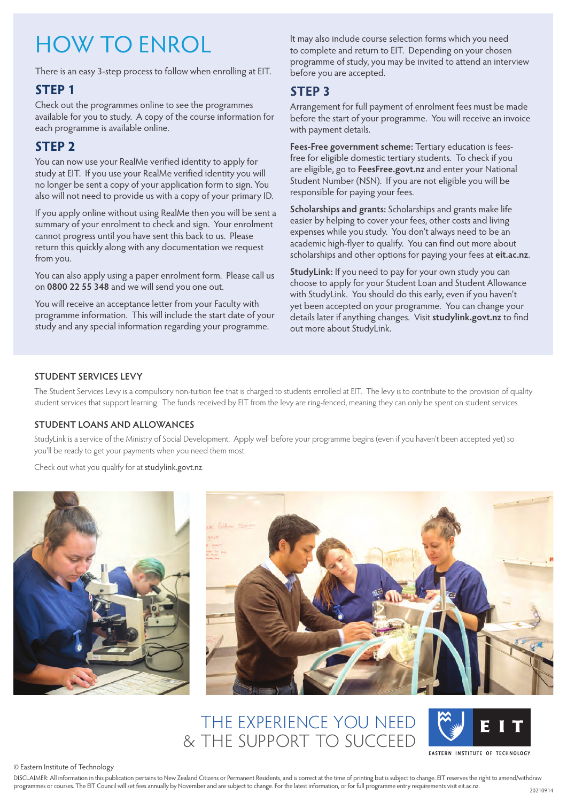# HOW TO ENROL

There is an easy 3-step process to follow when enrolling at EIT.

#### **STEP 1**

Check out the programmes online to see the programmes available for you to study. A copy of the course information for each programme is available online.

### **STEP 2**

You can now use your RealMe verified identity to apply for study at EIT. If you use your RealMe verified identity you will no longer be sent a copy of your application form to sign. You also will not need to provide us with a copy of your primary ID.

If you apply online without using RealMe then you will be sent a summary of your enrolment to check and sign. Your enrolment cannot progress until you have sent this back to us. Please return this quickly along with any documentation we request from you.

You can also apply using a paper enrolment form. Please call us on **0800 22 55 348** and we will send you one out.

You will receive an acceptance letter from your Faculty with programme information. This will include the start date of your study and any special information regarding your programme.

It may also include course selection forms which you need to complete and return to EIT. Depending on your chosen programme of study, you may be invited to attend an interview before you are accepted.

#### **STEP 3**

Arrangement for full payment of enrolment fees must be made before the start of your programme. You will receive an invoice with payment details.

**Fees-Free government scheme:** Tertiary education is feesfree for eligible domestic tertiary students. To check if you are eligible, go to **[FeesFree.govt.nz](https://FeesFree.govt.nz)** and enter your National Student Number (NSN). If you are not eligible you will be responsible for paying your fees.

**Scholarships and grants:** Scholarships and grants make life easier by helping to cover your fees, other costs and living expenses while you study. You don't always need to be an academic high-flyer to qualify. You can find out more about scholarships and other options for paying your fees at **[eit.ac.nz](https://www.eit.ac.nz)**.

**StudyLink:** If you need to pay for your own study you can choose to apply for your Student Loan and Student Allowance with StudyLink. You should do this early, even if you haven't yet been accepted on your programme. You can change your details later if anything changes. Visit **[studylink.govt.nz](https://studylink.govt.nz)** to find out more about StudyLink.

#### **STUDENT SERVICES LEVY**

The Student Services Levy is a compulsory non-tuition fee that is charged to students enrolled at EIT. The levy is to contribute to the provision of quality student services that support learning. The funds received by EIT from the levy are ring-fenced, meaning they can only be spent on student services.

#### **STUDENT LOANS AND ALLOWANCES**

StudyLink is a service of the Ministry of Social Development. Apply well before your programme begins (even if you haven't been accepted yet) so you'll be ready to get your payments when you need them most.

Check out what you qualify for at [studylink.govt.nz](https://studylink.govt.nz).





# THE EXPERIENCE YOU NEED & THE SUPPORT TO SUCCEED



© Eastern Institute of Technology

DISCLAIMER: All information in this publication pertains to New Zealand Citizens or Permanent Residents, and is correct at the time of printing but is subject to change. EIT reserves the right to amend/withdraw programmes or courses. The EIT Council will set fees annually by November and are subject to change. For the latest information, or for full programme entry requirements visit [eit.ac.nz.](https://www.eit.ac.nz)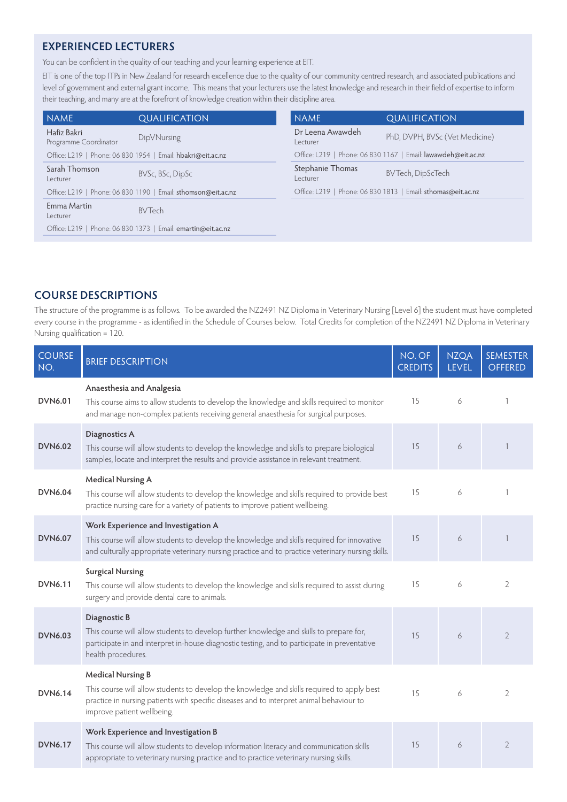#### **EXPERIENCED LECTURERS**

You can be confident in the quality of our teaching and your learning experience at EIT.

EIT is one of the top ITPs in New Zealand for research excellence due to the quality of our community centred research, and associated publications and level of government and external grant income. This means that your lecturers use the latest knowledge and research in their field of expertise to inform their teaching, and many are at the forefront of knowledge creation within their discipline area.

| <b>NAME</b>                          | <b>QUALIFICATION</b>                                          | <b>NAME</b>                   | <b>QUALIFICATION</b>                                          |
|--------------------------------------|---------------------------------------------------------------|-------------------------------|---------------------------------------------------------------|
| Hafiz Bakri<br>Programme Coordinator | DipVNursing                                                   | Dr Leena Awawdeh<br>l ecturer | PhD, DVPH, BVSc (Vet Medicine)                                |
|                                      | Office: L219   Phone: 06 830 1954   Email: hbakri@eit.ac.nz   |                               | Office: L219   Phone: 06 830 1167   Email: lawawdeh@eit.ac.nz |
| Sarah Thomson<br>Lecturer            | BVSc, BSc, DipSc                                              | Stephanie Thomas<br>Lecturer  | <b>BVTech, DipScTech</b>                                      |
|                                      | Office: L219   Phone: 06 830 1190   Email: sthomson@eit.ac.nz |                               | Office: L219   Phone: 06 830 1813   Email: sthomas@eit.ac.nz  |
| Emma Martin<br>Lecturer              | <b>BVTech</b>                                                 |                               |                                                               |
|                                      | Office: L219   Phone: 06 830 1373   Email: emartin@eit.ac.nz  |                               |                                                               |

#### **COURSE DESCRIPTIONS**

The structure of the programme is as follows. To be awarded the NZ2491 NZ Diploma in Veterinary Nursing [Level 6] the student must have completed every course in the programme - as identified in the Schedule of Courses below. Total Credits for completion of the NZ2491 NZ Diploma in Veterinary Nursing qualification = 120.

| <b>COURSE</b><br>NO. | <b>BRIEF DESCRIPTION</b>                                                                                                                                                                                                                         | NO. OF<br><b>CREDITS</b> | <b>NZQA</b><br><b>LEVEL</b> | <b>SEMESTER</b><br><b>OFFERED</b> |
|----------------------|--------------------------------------------------------------------------------------------------------------------------------------------------------------------------------------------------------------------------------------------------|--------------------------|-----------------------------|-----------------------------------|
| <b>DVN6.01</b>       | Anaesthesia and Analgesia<br>This course aims to allow students to develop the knowledge and skills required to monitor<br>and manage non-complex patients receiving general anaesthesia for surgical purposes.                                  | 15                       | 6                           |                                   |
| <b>DVN6.02</b>       | <b>Diagnostics A</b><br>This course will allow students to develop the knowledge and skills to prepare biological<br>samples, locate and interpret the results and provide assistance in relevant treatment.                                     | 15                       | 6                           |                                   |
| <b>DVN6.04</b>       | <b>Medical Nursing A</b><br>This course will allow students to develop the knowledge and skills required to provide best<br>practice nursing care for a variety of patients to improve patient wellbeing.                                        | 15                       | 6                           |                                   |
| <b>DVN6.07</b>       | Work Experience and Investigation A<br>This course will allow students to develop the knowledge and skills required for innovative<br>and culturally appropriate veterinary nursing practice and to practice veterinary nursing skills.          | 15                       | 6                           |                                   |
| <b>DVN6.11</b>       | <b>Surgical Nursing</b><br>This course will allow students to develop the knowledge and skills required to assist during<br>surgery and provide dental care to animals.                                                                          | 15                       | 6                           | $\overline{2}$                    |
| <b>DVN6.03</b>       | Diagnostic B<br>This course will allow students to develop further knowledge and skills to prepare for,<br>participate in and interpret in-house diagnostic testing, and to participate in preventative<br>health procedures.                    | 15                       | 6                           | $\overline{2}$                    |
| <b>DVN6.14</b>       | <b>Medical Nursing B</b><br>This course will allow students to develop the knowledge and skills required to apply best<br>practice in nursing patients with specific diseases and to interpret animal behaviour to<br>improve patient wellbeing. | 15                       | 6                           | $\overline{2}$                    |
| <b>DVN6.17</b>       | Work Experience and Investigation B<br>This course will allow students to develop information literacy and communication skills<br>appropriate to veterinary nursing practice and to practice veterinary nursing skills.                         | 15                       | 6                           | $\overline{2}$                    |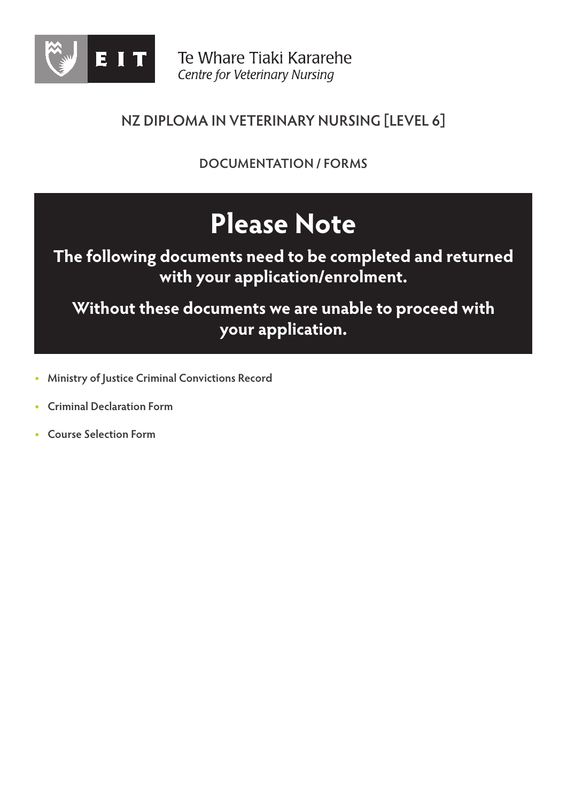

**DOCUMENTATION / FORMS**

# **Please Note**

# **The following documents need to be completed and returned with your application/enrolment.**

**Without these documents we are unable to proceed with your application.**

- **• Ministry of Justice Criminal Convictions Record**
- **• Criminal Declaration Form**
- **• Course Selection Form**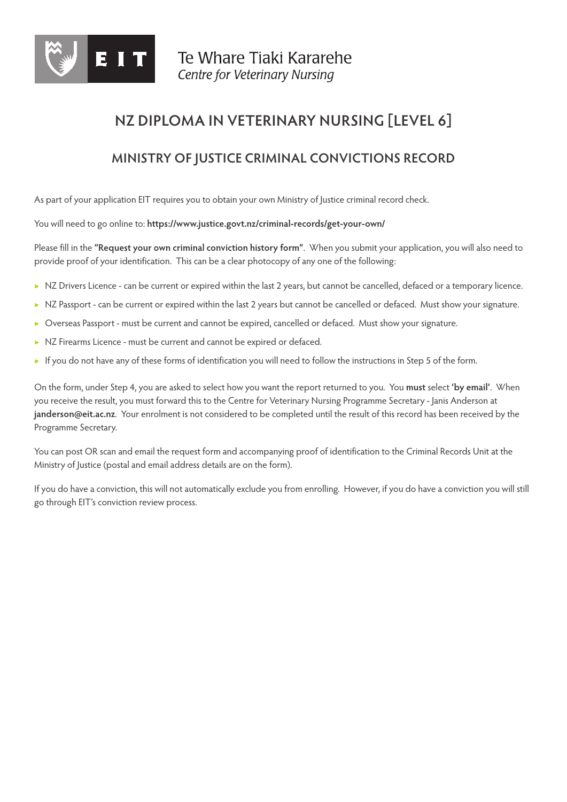

### **MINISTRY OF JUSTICE CRIMINAL CONVICTIONS RECORD**

As part of your application EIT requires you to obtain your own Ministry of Justice criminal record check.

You will need to go online to: **<https://www.justice.govt.nz/criminal-records/get-your-own/>**

Please fill in the **"Request your own criminal conviction history form"**. When you submit your application, you will also need to provide proof of your identification. This can be a clear photocopy of any one of the following:

- ▶ NZ Drivers Licence can be current or expired within the last 2 years, but cannot be cancelled, defaced or a temporary licence.
- ▶ NZ Passport can be current or expired within the last 2 years but cannot be cancelled or defaced. Must show your signature.
- ▶ Overseas Passport must be current and cannot be expired, cancelled or defaced. Must show your signature.
- ▶ NZ Firearms Licence must be current and cannot be expired or defaced.
- ▶ If you do not have any of these forms of identification you will need to follow the instructions in Step 5 of the form.

On the form, under Step 4, you are asked to select how you want the report returned to you. You **must** select **'by email'**. When you receive the result, you must forward this to the Centre for Veterinary Nursing Programme Secretary - Janis Anderson at **[janderson@eit.ac.nz](mailto:janderson@eit.ac.nz)**. Your enrolment is not considered to be completed until the result of this record has been received by the Programme Secretary.

You can post OR scan and email the request form and accompanying proof of identification to the Criminal Records Unit at the Ministry of Justice (postal and email address details are on the form).

If you do have a conviction, this will not automatically exclude you from enrolling. However, if you do have a conviction you will still go through EIT's conviction review process.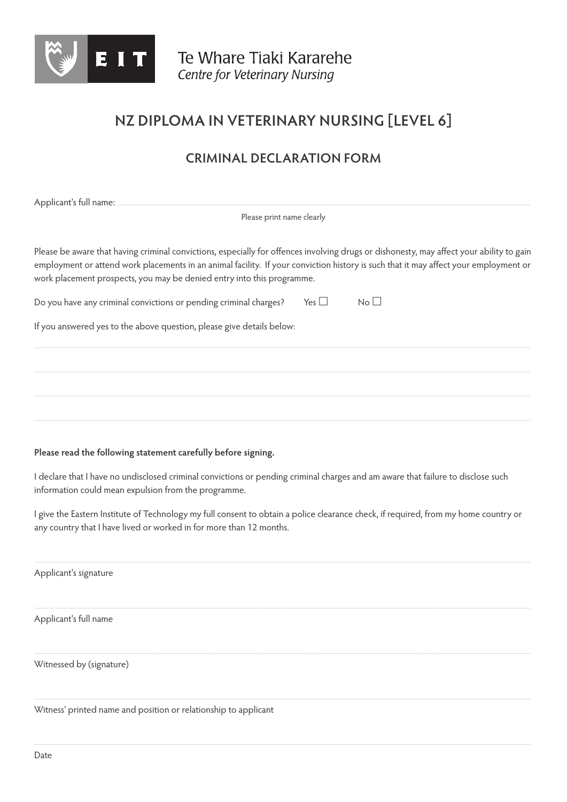

## **CRIMINAL DECLARATION FORM**

Applicant's full name:

Please print name clearly

Please be aware that having criminal convictions, especially for offences involving drugs or dishonesty, may affect your ability to gain employment or attend work placements in an animal facility. If your conviction history is such that it may affect your employment or work placement prospects, you may be denied entry into this programme.

 $Yes \Box$  $N_0$ Do you have any criminal convictions or pending criminal charges?

If you answered yes to the above question, please give details below:

#### Please read the following statement carefully before signing.

I declare that I have no undisclosed criminal convictions or pending criminal charges and am aware that failure to disclose such information could mean expulsion from the programme.

I give the Eastern Institute of Technology my full consent to obtain a police clearance check, if required, from my home country or any country that I have lived or worked in for more than 12 months.

Applicant's signature

Applicant's full name

Witnessed by (signature)

Witness' printed name and position or relationship to applicant